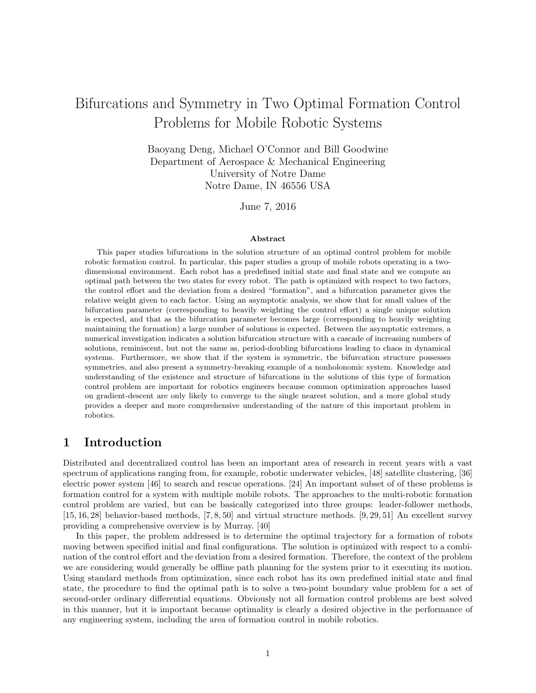# Bifurcations and Symmetry in Two Optimal Formation Control Problems for Mobile Robotic Systems

Baoyang Deng, Michael O'Connor and Bill Goodwine Department of Aerospace & Mechanical Engineering University of Notre Dame Notre Dame, IN 46556 USA

June 7, 2016

#### Abstract

This paper studies bifurcations in the solution structure of an optimal control problem for mobile robotic formation control. In particular, this paper studies a group of mobile robots operating in a twodimensional environment. Each robot has a predefined initial state and final state and we compute an optimal path between the two states for every robot. The path is optimized with respect to two factors, the control effort and the deviation from a desired "formation", and a bifurcation parameter gives the relative weight given to each factor. Using an asymptotic analysis, we show that for small values of the bifurcation parameter (corresponding to heavily weighting the control effort) a single unique solution is expected, and that as the bifurcation parameter becomes large (corresponding to heavily weighting maintaining the formation) a large number of solutions is expected. Between the asymptotic extremes, a numerical investigation indicates a solution bifurcation structure with a cascade of increasing numbers of solutions, reminiscent, but not the same as, period-doubling bifurcations leading to chaos in dynamical systems. Furthermore, we show that if the system is symmetric, the bifurcation structure possesses symmetries, and also present a symmetry-breaking example of a nonholonomic system. Knowledge and understanding of the existence and structure of bifurcations in the solutions of this type of formation control problem are important for robotics engineers because common optimization approaches based on gradient-descent are only likely to converge to the single nearest solution, and a more global study provides a deeper and more comprehensive understanding of the nature of this important problem in robotics.

### 1 Introduction

Distributed and decentralized control has been an important area of research in recent years with a vast spectrum of applications ranging from, for example, robotic underwater vehicles, [48] satellite clustering, [36] electric power system [46] to search and rescue operations. [24] An important subset of of these problems is formation control for a system with multiple mobile robots. The approaches to the multi-robotic formation control problem are varied, but can be basically categorized into three groups: leader-follower methods, [15, 16, 28] behavior-based methods, [7, 8, 50] and virtual structure methods. [9, 29, 51] An excellent survey providing a comprehensive overview is by Murray. [40]

In this paper, the problem addressed is to determine the optimal trajectory for a formation of robots moving between specified initial and final configurations. The solution is optimized with respect to a combination of the control effort and the deviation from a desired formation. Therefore, the context of the problem we are considering would generally be offline path planning for the system prior to it executing its motion. Using standard methods from optimization, since each robot has its own predefined initial state and final state, the procedure to find the optimal path is to solve a two-point boundary value problem for a set of second-order ordinary differential equations. Obviously not all formation control problems are best solved in this manner, but it is important because optimality is clearly a desired objective in the performance of any engineering system, including the area of formation control in mobile robotics.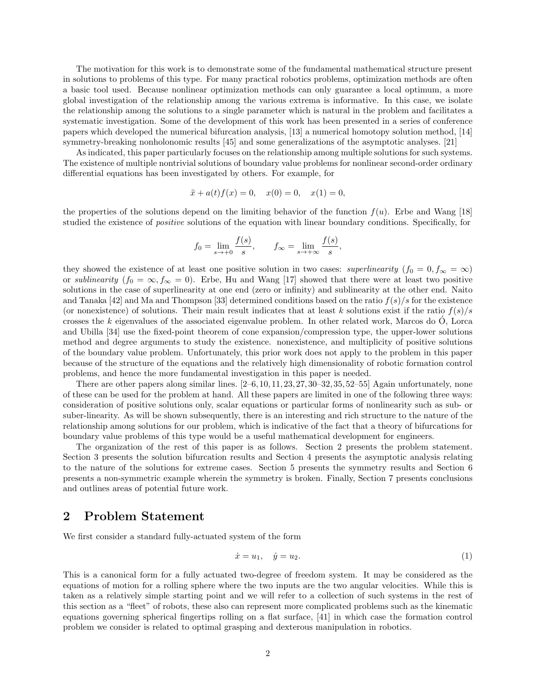The motivation for this work is to demonstrate some of the fundamental mathematical structure present in solutions to problems of this type. For many practical robotics problems, optimization methods are often a basic tool used. Because nonlinear optimization methods can only guarantee a local optimum, a more global investigation of the relationship among the various extrema is informative. In this case, we isolate the relationship among the solutions to a single parameter which is natural in the problem and facilitates a systematic investigation. Some of the development of this work has been presented in a series of conference papers which developed the numerical bifurcation analysis, [13] a numerical homotopy solution method, [14] symmetry-breaking nonholonomic results [45] and some generalizations of the asymptotic analyses. [21]

As indicated, this paper particularly focuses on the relationship among multiple solutions for such systems. The existence of multiple nontrivial solutions of boundary value problems for nonlinear second-order ordinary differential equations has been investigated by others. For example, for

$$
\ddot{x} + a(t)f(x) = 0, \quad x(0) = 0, \quad x(1) = 0,
$$

the properties of the solutions depend on the limiting behavior of the function  $f(u)$ . Erbe and Wang [18] studied the existence of positive solutions of the equation with linear boundary conditions. Specifically, for

$$
f_0 = \lim_{s \to +0} \frac{f(s)}{s}, \qquad f_\infty = \lim_{s \to +\infty} \frac{f(s)}{s},
$$

they showed the existence of at least one positive solution in two cases: superlinearity  $(f_0 = 0, f_\infty = \infty)$ or sublinearity  $(f_0 = \infty, f_\infty = 0)$ . Erbe, Hu and Wang [17] showed that there were at least two positive solutions in the case of superlinearity at one end (zero or infinity) and sublinearity at the other end. Naito and Tanaka [42] and Ma and Thompson [33] determined conditions based on the ratio  $f(s)/s$  for the existence (or nonexistence) of solutions. Their main result indicates that at least k solutions exist if the ratio  $f(s)/s$ crosses the k eigenvalues of the associated eigenvalue problem. In other related work, Marcos do  $\dot{O}$ , Lorca and Ubilla [34] use the fixed-point theorem of cone expansion/compression type, the upper-lower solutions method and degree arguments to study the existence. nonexistence, and multiplicity of positive solutions of the boundary value problem. Unfortunately, this prior work does not apply to the problem in this paper because of the structure of the equations and the relatively high dimensionality of robotic formation control problems, and hence the more fundamental investigation in this paper is needed.

There are other papers along similar lines. [2–6, 10, 11, 23,27, 30–32, 35, 52–55] Again unfortunately, none of these can be used for the problem at hand. All these papers are limited in one of the following three ways: consideration of positive solutions only, scalar equations or particular forms of nonlinearity such as sub- or suber-linearity. As will be shown subsequently, there is an interesting and rich structure to the nature of the relationship among solutions for our problem, which is indicative of the fact that a theory of bifurcations for boundary value problems of this type would be a useful mathematical development for engineers.

The organization of the rest of this paper is as follows. Section 2 presents the problem statement. Section 3 presents the solution bifurcation results and Section 4 presents the asymptotic analysis relating to the nature of the solutions for extreme cases. Section 5 presents the symmetry results and Section 6 presents a non-symmetric example wherein the symmetry is broken. Finally, Section 7 presents conclusions and outlines areas of potential future work.

### 2 Problem Statement

We first consider a standard fully-actuated system of the form

$$
\dot{x} = u_1, \quad \dot{y} = u_2. \tag{1}
$$

This is a canonical form for a fully actuated two-degree of freedom system. It may be considered as the equations of motion for a rolling sphere where the two inputs are the two angular velocities. While this is taken as a relatively simple starting point and we will refer to a collection of such systems in the rest of this section as a "fleet" of robots, these also can represent more complicated problems such as the kinematic equations governing spherical fingertips rolling on a flat surface, [41] in which case the formation control problem we consider is related to optimal grasping and dexterous manipulation in robotics.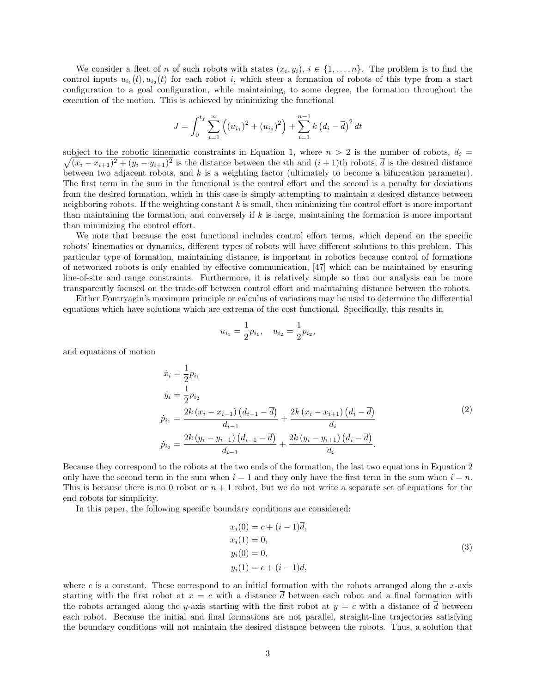We consider a fleet of n of such robots with states  $(x_i, y_i)$ ,  $i \in \{1, \ldots, n\}$ . The problem is to find the control inputs  $u_{i_1}(t), u_{i_2}(t)$  for each robot i, which steer a formation of robots of this type from a start configuration to a goal configuration, while maintaining, to some degree, the formation throughout the execution of the motion. This is achieved by minimizing the functional

$$
J = \int_0^{t_f} \sum_{i=1}^n \left( (u_{i_1})^2 + (u_{i_2})^2 \right) + \sum_{i=1}^{n-1} k \left( d_i - \overline{d} \right)^2 dt
$$

 $\sqrt{(x_i-x_{i+1})^2+(y_i-y_{i+1})^2}$  is the distance between the *i*th and  $(i+1)$ th robots,  $\overline{d}$  is the desired distance subject to the robotic kinematic constraints in Equation 1, where  $n > 2$  is the number of robots,  $d_i =$ between two adjacent robots, and  $k$  is a weighting factor (ultimately to become a bifurcation parameter). The first term in the sum in the functional is the control effort and the second is a penalty for deviations from the desired formation, which in this case is simply attempting to maintain a desired distance between neighboring robots. If the weighting constant  $k$  is small, then minimizing the control effort is more important than maintaining the formation, and conversely if  $k$  is large, maintaining the formation is more important than minimizing the control effort.

We note that because the cost functional includes control effort terms, which depend on the specific robots' kinematics or dynamics, different types of robots will have different solutions to this problem. This particular type of formation, maintaining distance, is important in robotics because control of formations of networked robots is only enabled by effective communication, [47] which can be maintained by ensuring line-of-site and range constraints. Furthermore, it is relatively simple so that our analysis can be more transparently focused on the trade-off between control effort and maintaining distance between the robots.

Either Pontryagin's maximum principle or calculus of variations may be used to determine the differential equations which have solutions which are extrema of the cost functional. Specifically, this results in

$$
u_{i_1} = \frac{1}{2}p_{i_1}, \quad u_{i_2} = \frac{1}{2}p_{i_2},
$$

and equations of motion

$$
\begin{aligned}\n\dot{x}_i &= \frac{1}{2} p_{i_1} \\
\dot{y}_i &= \frac{1}{2} p_{i_2} \\
\dot{p}_{i_1} &= \frac{2k (x_i - x_{i-1}) (d_{i-1} - \overline{d})}{d_{i-1}} + \frac{2k (x_i - x_{i+1}) (d_i - \overline{d})}{d_i} \\
\dot{p}_{i_2} &= \frac{2k (y_i - y_{i-1}) (d_{i-1} - \overline{d})}{d_{i-1}} + \frac{2k (y_i - y_{i+1}) (d_i - \overline{d})}{d_i}.\n\end{aligned} \tag{2}
$$

Because they correspond to the robots at the two ends of the formation, the last two equations in Equation 2 only have the second term in the sum when  $i = 1$  and they only have the first term in the sum when  $i = n$ . This is because there is no 0 robot or  $n + 1$  robot, but we do not write a separate set of equations for the end robots for simplicity.

In this paper, the following specific boundary conditions are considered:

$$
x_i(0) = c + (i - 1)d,
$$
  
\n
$$
x_i(1) = 0,
$$
  
\n
$$
y_i(0) = 0,
$$
  
\n
$$
y_i(1) = c + (i - 1)\overline{d},
$$
\n(3)

where c is a constant. These correspond to an initial formation with the robots arranged along the  $x$ -axis starting with the first robot at  $x = c$  with a distance  $\overline{d}$  between each robot and a final formation with the robots arranged along the y-axis starting with the first robot at  $y = c$  with a distance of  $\bar{d}$  between each robot. Because the initial and final formations are not parallel, straight-line trajectories satisfying the boundary conditions will not maintain the desired distance between the robots. Thus, a solution that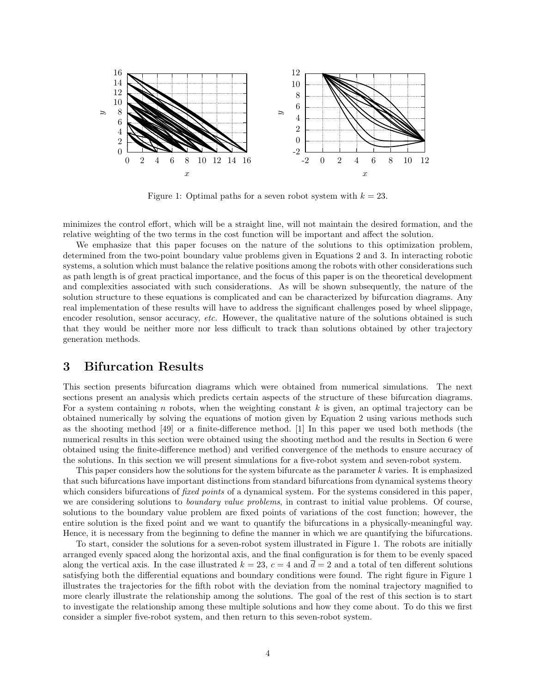

Figure 1: Optimal paths for a seven robot system with  $k = 23$ .

minimizes the control effort, which will be a straight line, will not maintain the desired formation, and the relative weighting of the two terms in the cost function will be important and affect the solution.

We emphasize that this paper focuses on the nature of the solutions to this optimization problem, determined from the two-point boundary value problems given in Equations 2 and 3. In interacting robotic systems, a solution which must balance the relative positions among the robots with other considerations such as path length is of great practical importance, and the focus of this paper is on the theoretical development and complexities associated with such considerations. As will be shown subsequently, the nature of the solution structure to these equations is complicated and can be characterized by bifurcation diagrams. Any real implementation of these results will have to address the significant challenges posed by wheel slippage, encoder resolution, sensor accuracy, *etc.* However, the qualitative nature of the solutions obtained is such that they would be neither more nor less difficult to track than solutions obtained by other trajectory generation methods.

### 3 Bifurcation Results

This section presents bifurcation diagrams which were obtained from numerical simulations. The next sections present an analysis which predicts certain aspects of the structure of these bifurcation diagrams. For a system containing n robots, when the weighting constant  $k$  is given, an optimal trajectory can be obtained numerically by solving the equations of motion given by Equation 2 using various methods such as the shooting method [49] or a finite-difference method. [1] In this paper we used both methods (the numerical results in this section were obtained using the shooting method and the results in Section 6 were obtained using the finite-difference method) and verified convergence of the methods to ensure accuracy of the solutions. In this section we will present simulations for a five-robot system and seven-robot system.

This paper considers how the solutions for the system bifurcate as the parameter k varies. It is emphasized that such bifurcations have important distinctions from standard bifurcations from dynamical systems theory which considers bifurcations of *fixed points* of a dynamical system. For the systems considered in this paper, we are considering solutions to *boundary value problems*, in contrast to initial value problems. Of course, solutions to the boundary value problem are fixed points of variations of the cost function; however, the entire solution is the fixed point and we want to quantify the bifurcations in a physically-meaningful way. Hence, it is necessary from the beginning to define the manner in which we are quantifying the bifurcations.

To start, consider the solutions for a seven-robot system illustrated in Figure 1. The robots are initially arranged evenly spaced along the horizontal axis, and the final configuration is for them to be evenly spaced along the vertical axis. In the case illustrated  $k = 23$ ,  $c = 4$  and  $\overline{d} = 2$  and a total of ten different solutions satisfying both the differential equations and boundary conditions were found. The right figure in Figure 1 illustrates the trajectories for the fifth robot with the deviation from the nominal trajectory magnified to more clearly illustrate the relationship among the solutions. The goal of the rest of this section is to start to investigate the relationship among these multiple solutions and how they come about. To do this we first consider a simpler five-robot system, and then return to this seven-robot system.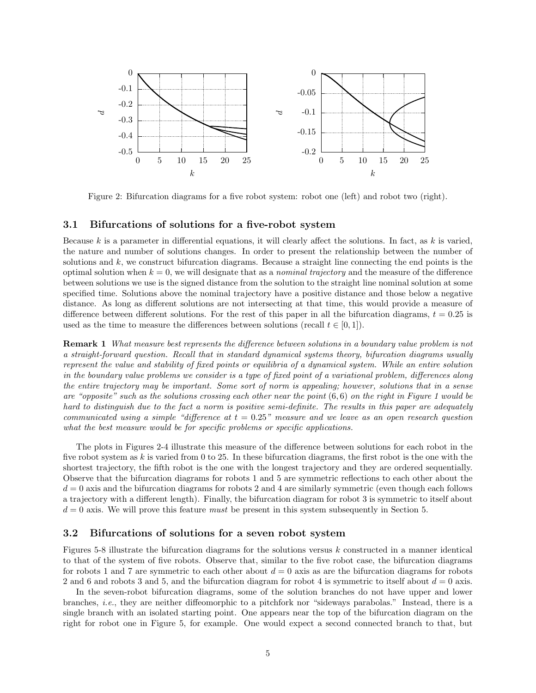

Figure 2: Bifurcation diagrams for a five robot system: robot one (left) and robot two (right).

#### 3.1 Bifurcations of solutions for a five-robot system

Because  $k$  is a parameter in differential equations, it will clearly affect the solutions. In fact, as  $k$  is varied, the nature and number of solutions changes. In order to present the relationship between the number of solutions and  $k$ , we construct bifurcation diagrams. Because a straight line connecting the end points is the optimal solution when  $k = 0$ , we will designate that as a *nominal trajectory* and the measure of the difference between solutions we use is the signed distance from the solution to the straight line nominal solution at some specified time. Solutions above the nominal trajectory have a positive distance and those below a negative distance. As long as different solutions are not intersecting at that time, this would provide a measure of difference between different solutions. For the rest of this paper in all the bifurcation diagrams,  $t = 0.25$  is used as the time to measure the differences between solutions (recall  $t \in [0,1]$ ).

Remark 1 What measure best represents the difference between solutions in a boundary value problem is not a straight-forward question. Recall that in standard dynamical systems theory, bifurcation diagrams usually represent the value and stability of fixed points or equilibria of a dynamical system. While an entire solution in the boundary value problems we consider is a type of fixed point of a variational problem, differences along the entire trajectory may be important. Some sort of norm is appealing; however, solutions that in a sense are "opposite" such as the solutions crossing each other near the point  $(6, 6)$  on the right in Figure 1 would be hard to distinguish due to the fact a norm is positive semi-definite. The results in this paper are adequately communicated using a simple "difference at  $t = 0.25$ " measure and we leave as an open research question what the best measure would be for specific problems or specific applications.

The plots in Figures 2-4 illustrate this measure of the difference between solutions for each robot in the five robot system as k is varied from 0 to 25. In these bifurcation diagrams, the first robot is the one with the shortest trajectory, the fifth robot is the one with the longest trajectory and they are ordered sequentially. Observe that the bifurcation diagrams for robots 1 and 5 are symmetric reflections to each other about the  $d = 0$  axis and the bifurcation diagrams for robots 2 and 4 are similarly symmetric (even though each follows a trajectory with a different length). Finally, the bifurcation diagram for robot 3 is symmetric to itself about  $d = 0$  axis. We will prove this feature must be present in this system subsequently in Section 5.

#### 3.2 Bifurcations of solutions for a seven robot system

Figures 5-8 illustrate the bifurcation diagrams for the solutions versus  $k$  constructed in a manner identical to that of the system of five robots. Observe that, similar to the five robot case, the bifurcation diagrams for robots 1 and 7 are symmetric to each other about  $d = 0$  axis as are the bifurcation diagrams for robots 2 and 6 and robots 3 and 5, and the bifurcation diagram for robot 4 is symmetric to itself about  $d = 0$  axis.

In the seven-robot bifurcation diagrams, some of the solution branches do not have upper and lower branches, i.e., they are neither diffeomorphic to a pitchfork nor "sideways parabolas." Instead, there is a single branch with an isolated starting point. One appears near the top of the bifurcation diagram on the right for robot one in Figure 5, for example. One would expect a second connected branch to that, but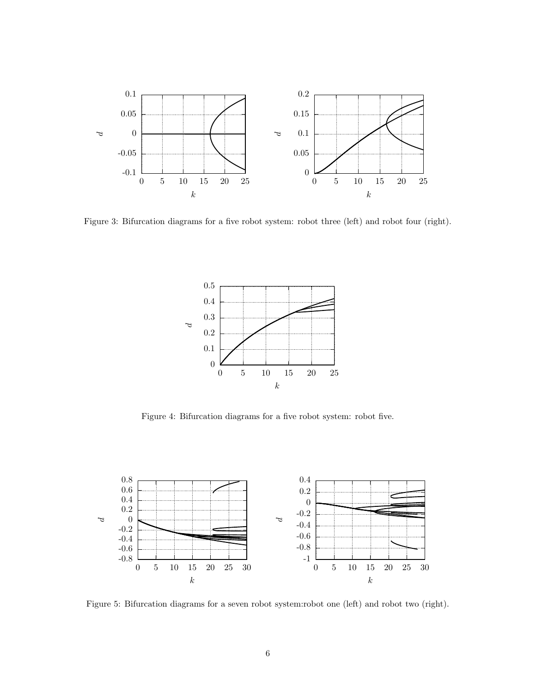

Figure 3: Bifurcation diagrams for a five robot system: robot three (left) and robot four (right).



Figure 4: Bifurcation diagrams for a five robot system: robot five.



Figure 5: Bifurcation diagrams for a seven robot system:robot one (left) and robot two (right).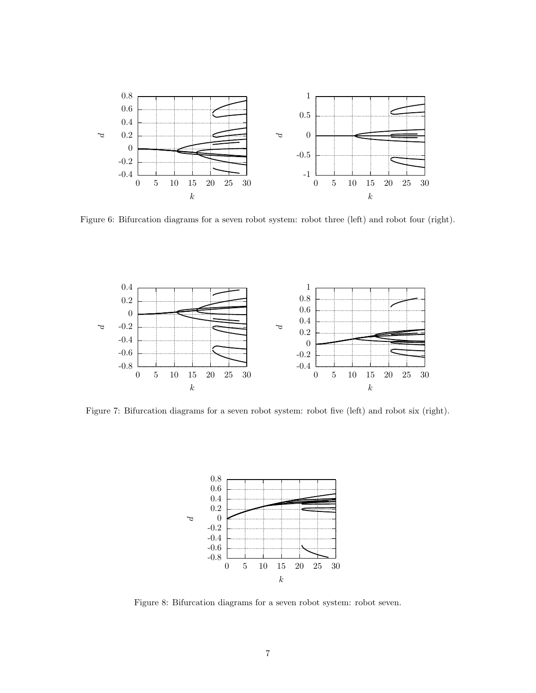

Figure 6: Bifurcation diagrams for a seven robot system: robot three (left) and robot four (right).



Figure 7: Bifurcation diagrams for a seven robot system: robot five (left) and robot six (right).



Figure 8: Bifurcation diagrams for a seven robot system: robot seven.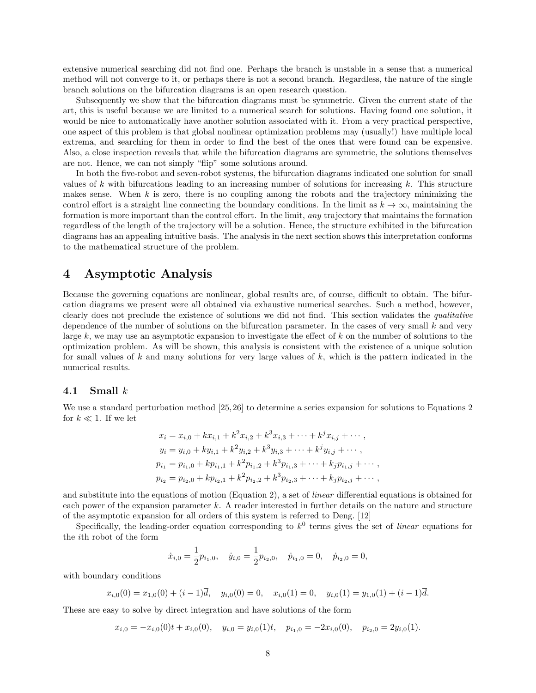extensive numerical searching did not find one. Perhaps the branch is unstable in a sense that a numerical method will not converge to it, or perhaps there is not a second branch. Regardless, the nature of the single branch solutions on the bifurcation diagrams is an open research question.

Subsequently we show that the bifurcation diagrams must be symmetric. Given the current state of the art, this is useful because we are limited to a numerical search for solutions. Having found one solution, it would be nice to automatically have another solution associated with it. From a very practical perspective, one aspect of this problem is that global nonlinear optimization problems may (usually!) have multiple local extrema, and searching for them in order to find the best of the ones that were found can be expensive. Also, a close inspection reveals that while the bifurcation diagrams are symmetric, the solutions themselves are not. Hence, we can not simply "flip" some solutions around.

In both the five-robot and seven-robot systems, the bifurcation diagrams indicated one solution for small values of k with bifurcations leading to an increasing number of solutions for increasing k. This structure makes sense. When  $k$  is zero, there is no coupling among the robots and the trajectory minimizing the control effort is a straight line connecting the boundary conditions. In the limit as  $k \to \infty$ , maintaining the formation is more important than the control effort. In the limit, any trajectory that maintains the formation regardless of the length of the trajectory will be a solution. Hence, the structure exhibited in the bifurcation diagrams has an appealing intuitive basis. The analysis in the next section shows this interpretation conforms to the mathematical structure of the problem.

### 4 Asymptotic Analysis

Because the governing equations are nonlinear, global results are, of course, difficult to obtain. The bifurcation diagrams we present were all obtained via exhaustive numerical searches. Such a method, however, clearly does not preclude the existence of solutions we did not find. This section validates the qualitative dependence of the number of solutions on the bifurcation parameter. In the cases of very small  $k$  and very large  $k$ , we may use an asymptotic expansion to investigate the effect of  $k$  on the number of solutions to the optimization problem. As will be shown, this analysis is consistent with the existence of a unique solution for small values of  $k$  and many solutions for very large values of  $k$ , which is the pattern indicated in the numerical results.

#### 4.1 Small  $k$

We use a standard perturbation method [25, 26] to determine a series expansion for solutions to Equations 2 for  $k \ll 1$ . If we let

$$
x_i = x_{i,0} + kx_{i,1} + k^2x_{i,2} + k^3x_{i,3} + \dots + k^jx_{i,j} + \dots,
$$
  
\n
$$
y_i = y_{i,0} + ky_{i,1} + k^2y_{i,2} + k^3y_{i,3} + \dots + k^jy_{i,j} + \dots,
$$
  
\n
$$
p_{i_1} = p_{i_1,0} + kp_{i_1,1} + k^2p_{i_1,2} + k^3p_{i_1,3} + \dots + k_jp_{i_1,j} + \dots,
$$
  
\n
$$
p_{i_2} = p_{i_2,0} + kp_{i_2,1} + k^2p_{i_2,2} + k^3p_{i_2,3} + \dots + k_jp_{i_2,j} + \dots,
$$

and substitute into the equations of motion (Equation 2), a set of *linear* differential equations is obtained for each power of the expansion parameter k. A reader interested in further details on the nature and structure of the asymptotic expansion for all orders of this system is referred to Deng. [12]

Specifically, the leading-order equation corresponding to  $k^0$  terms gives the set of *linear* equations for the ith robot of the form

$$
\dot{x}_{i,0} = \frac{1}{2}p_{i_1,0},
$$
  $\dot{y}_{i,0} = \frac{1}{2}p_{i_2,0},$   $\dot{p}_{i_1,0} = 0,$   $\dot{p}_{i_2,0} = 0,$ 

with boundary conditions

$$
x_{i,0}(0) = x_{1,0}(0) + (i-1)\overline{d}, \quad y_{i,0}(0) = 0, \quad x_{i,0}(1) = 0, \quad y_{i,0}(1) = y_{1,0}(1) + (i-1)\overline{d}.
$$

These are easy to solve by direct integration and have solutions of the form

 $x_{i,0} = -x_{i,0}(0)t + x_{i,0}(0)$ ,  $y_{i,0} = y_{i,0}(1)t$ ,  $p_{i,0} = -2x_{i,0}(0)$ ,  $p_{i,0} = 2y_{i,0}(1)$ .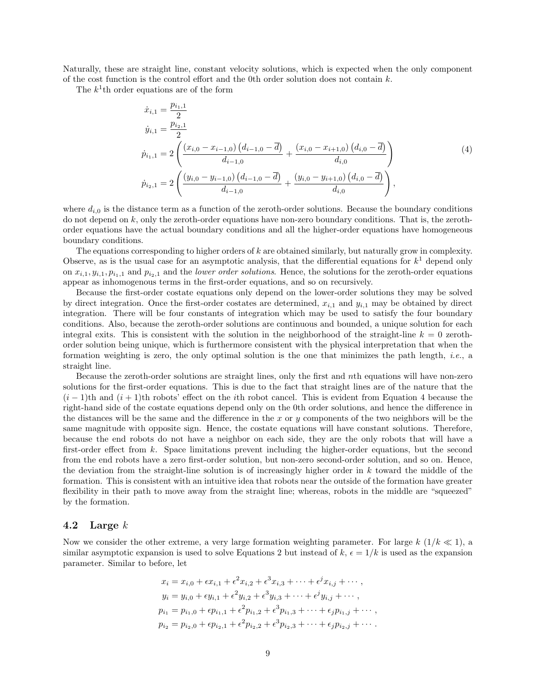Naturally, these are straight line, constant velocity solutions, which is expected when the only component of the cost function is the control effort and the 0th order solution does not contain  $k$ .

The  $k<sup>1</sup>$ th order equations are of the form

$$
\begin{aligned}\n\dot{x}_{i,1} &= \frac{p_{i_1,1}}{2} \\
\dot{y}_{i,1} &= \frac{p_{i_2,1}}{2} \\
\dot{p}_{i_1,1} &= 2\left(\frac{(x_{i,0} - x_{i-1,0})\left(d_{i-1,0} - \overline{d}\right)}{d_{i-1,0}} + \frac{(x_{i,0} - x_{i+1,0})\left(d_{i,0} - \overline{d}\right)}{d_{i,0}}\right) \\
\dot{p}_{i_2,1} &= 2\left(\frac{(y_{i,0} - y_{i-1,0})\left(d_{i-1,0} - \overline{d}\right)}{d_{i-1,0}} + \frac{(y_{i,0} - y_{i+1,0})\left(d_{i,0} - \overline{d}\right)}{d_{i,0}}\right),\n\end{aligned} \tag{4}
$$

where  $d_{i,0}$  is the distance term as a function of the zeroth-order solutions. Because the boundary conditions do not depend on k, only the zeroth-order equations have non-zero boundary conditions. That is, the zerothorder equations have the actual boundary conditions and all the higher-order equations have homogeneous boundary conditions.

The equations corresponding to higher orders of  $k$  are obtained similarly, but naturally grow in complexity. Observe, as is the usual case for an asymptotic analysis, that the differential equations for  $k<sup>1</sup>$  depend only on  $x_{i,1}, y_{i,1}, p_{i,1}$  and  $p_{i,1}$  and the lower order solutions. Hence, the solutions for the zeroth-order equations appear as inhomogenous terms in the first-order equations, and so on recursively.

Because the first-order costate equations only depend on the lower-order solutions they may be solved by direct integration. Once the first-order costates are determined,  $x_{i,1}$  and  $y_{i,1}$  may be obtained by direct integration. There will be four constants of integration which may be used to satisfy the four boundary conditions. Also, because the zeroth-order solutions are continuous and bounded, a unique solution for each integral exits. This is consistent with the solution in the neighborhood of the straight-line  $k = 0$  zerothorder solution being unique, which is furthermore consistent with the physical interpretation that when the formation weighting is zero, the only optimal solution is the one that minimizes the path length, i.e., a straight line.

Because the zeroth-order solutions are straight lines, only the first and nth equations will have non-zero solutions for the first-order equations. This is due to the fact that straight lines are of the nature that the  $(i-1)$ th and  $(i+1)$ th robots' effect on the *i*th robot cancel. This is evident from Equation 4 because the right-hand side of the costate equations depend only on the 0th order solutions, and hence the difference in the distances will be the same and the difference in the x or y components of the two neighbors will be the same magnitude with opposite sign. Hence, the costate equations will have constant solutions. Therefore, because the end robots do not have a neighbor on each side, they are the only robots that will have a first-order effect from k. Space limitations prevent including the higher-order equations, but the second from the end robots have a zero first-order solution, but non-zero second-order solution, and so on. Hence, the deviation from the straight-line solution is of increasingly higher order in  $k$  toward the middle of the formation. This is consistent with an intuitive idea that robots near the outside of the formation have greater flexibility in their path to move away from the straight line; whereas, robots in the middle are "squeezed" by the formation.

#### 4.2 Large  $k$

Now we consider the other extreme, a very large formation weighting parameter. For large k  $(1/k \ll 1)$ , a similar asymptotic expansion is used to solve Equations 2 but instead of  $k, \epsilon = 1/k$  is used as the expansion parameter. Similar to before, let

$$
x_i = x_{i,0} + \epsilon x_{i,1} + \epsilon^2 x_{i,2} + \epsilon^3 x_{i,3} + \cdots + \epsilon^j x_{i,j} + \cdots,
$$
  
\n
$$
y_i = y_{i,0} + \epsilon y_{i,1} + \epsilon^2 y_{i,2} + \epsilon^3 y_{i,3} + \cdots + \epsilon^j y_{i,j} + \cdots,
$$
  
\n
$$
p_{i_1} = p_{i_1,0} + \epsilon p_{i_1,1} + \epsilon^2 p_{i_1,2} + \epsilon^3 p_{i_1,3} + \cdots + \epsilon_j p_{i_1,j} + \cdots,
$$
  
\n
$$
p_{i_2} = p_{i_2,0} + \epsilon p_{i_2,1} + \epsilon^2 p_{i_2,2} + \epsilon^3 p_{i_2,3} + \cdots + \epsilon_j p_{i_2,j} + \cdots.
$$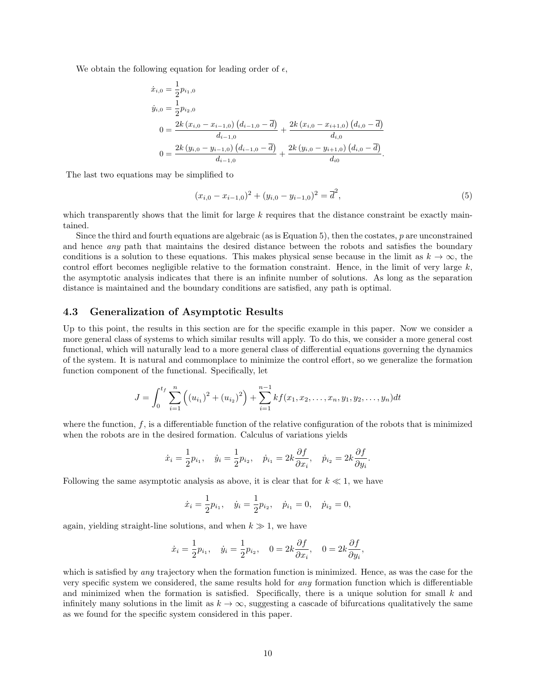We obtain the following equation for leading order of  $\epsilon$ ,

$$
\begin{aligned}\n\dot{x}_{i,0} &= \frac{1}{2} p_{i_1,0} \\
\dot{y}_{i,0} &= \frac{1}{2} p_{i_2,0} \\
0 &= \frac{2k (x_{i,0} - x_{i-1,0}) (d_{i-1,0} - \overline{d})}{d_{i-1,0}} + \frac{2k (x_{i,0} - x_{i+1,0}) (d_{i,0} - \overline{d})}{d_{i,0}} \\
0 &= \frac{2k (y_{i,0} - y_{i-1,0}) (d_{i-1,0} - \overline{d})}{d_{i-1,0}} + \frac{2k (y_{i,0} - y_{i+1,0}) (d_{i,0} - \overline{d})}{d_{i0}}.\n\end{aligned}
$$

The last two equations may be simplified to

$$
(x_{i,0} - x_{i-1,0})^2 + (y_{i,0} - y_{i-1,0})^2 = \overline{d}^2,
$$
\n(5)

which transparently shows that the limit for large  $k$  requires that the distance constraint be exactly maintained.

Since the third and fourth equations are algebraic (as is Equation 5), then the costates,  $p$  are unconstrained and hence *any* path that maintains the desired distance between the robots and satisfies the boundary conditions is a solution to these equations. This makes physical sense because in the limit as  $k \to \infty$ , the control effort becomes negligible relative to the formation constraint. Hence, in the limit of very large  $k$ , the asymptotic analysis indicates that there is an infinite number of solutions. As long as the separation distance is maintained and the boundary conditions are satisfied, any path is optimal.

### 4.3 Generalization of Asymptotic Results

Up to this point, the results in this section are for the specific example in this paper. Now we consider a more general class of systems to which similar results will apply. To do this, we consider a more general cost functional, which will naturally lead to a more general class of differential equations governing the dynamics of the system. It is natural and commonplace to minimize the control effort, so we generalize the formation function component of the functional. Specifically, let

$$
J = \int_0^{t_f} \sum_{i=1}^n \left( (u_{i_1})^2 + (u_{i_2})^2 \right) + \sum_{i=1}^{n-1} k f(x_1, x_2, \dots, x_n, y_1, y_2, \dots, y_n) dt
$$

where the function,  $f$ , is a differentiable function of the relative configuration of the robots that is minimized when the robots are in the desired formation. Calculus of variations yields

$$
\dot{x}_i = \frac{1}{2}p_{i_1}, \quad \dot{y}_i = \frac{1}{2}p_{i_2}, \quad \dot{p}_{i_1} = 2k\frac{\partial f}{\partial x_i}, \quad \dot{p}_{i_2} = 2k\frac{\partial f}{\partial y_i}.
$$

Following the same asymptotic analysis as above, it is clear that for  $k \ll 1$ , we have

$$
\dot{x}_i = \frac{1}{2}p_{i_1}, \quad \dot{y}_i = \frac{1}{2}p_{i_2}, \quad \dot{p}_{i_1} = 0, \quad \dot{p}_{i_2} = 0,
$$

again, yielding straight-line solutions, and when  $k \gg 1$ , we have

$$
\dot{x}_i = \frac{1}{2}p_{i_1}, \quad \dot{y}_i = \frac{1}{2}p_{i_2}, \quad 0 = 2k\frac{\partial f}{\partial x_i}, \quad 0 = 2k\frac{\partial f}{\partial y_i},
$$

which is satisfied by *any* trajectory when the formation function is minimized. Hence, as was the case for the very specific system we considered, the same results hold for any formation function which is differentiable and minimized when the formation is satisfied. Specifically, there is a unique solution for small  $k$  and infinitely many solutions in the limit as  $k \to \infty$ , suggesting a cascade of bifurcations qualitatively the same as we found for the specific system considered in this paper.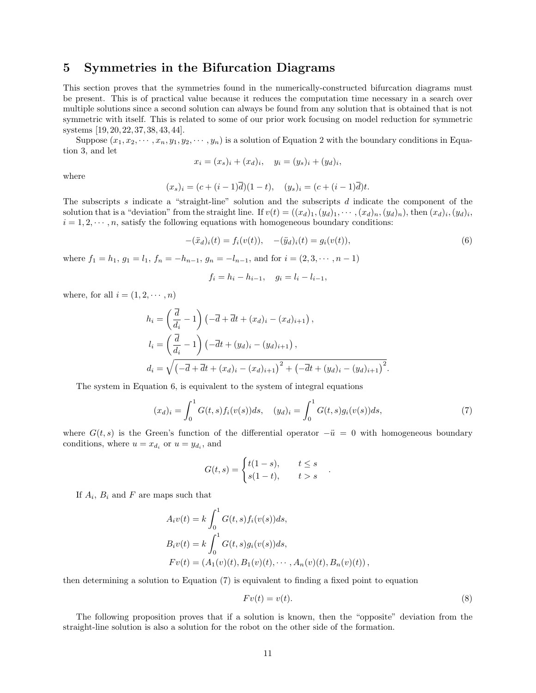### 5 Symmetries in the Bifurcation Diagrams

This section proves that the symmetries found in the numerically-constructed bifurcation diagrams must be present. This is of practical value because it reduces the computation time necessary in a search over multiple solutions since a second solution can always be found from any solution that is obtained that is not symmetric with itself. This is related to some of our prior work focusing on model reduction for symmetric systems [19, 20, 22, 37, 38, 43, 44].

Suppose  $(x_1, x_2, \dots, x_n, y_1, y_2, \dots, y_n)$  is a solution of Equation 2 with the boundary conditions in Equation 3, and let

$$
x_i = (x_s)_i + (x_d)_i
$$
,  $y_i = (y_s)_i + (y_d)_i$ ,

where

$$
(x_s)_i = (c + (i-1)\overline{d})(1-t), \quad (y_s)_i = (c + (i-1)\overline{d})t.
$$

The subscripts s indicate a "straight-line" solution and the subscripts d indicate the component of the solution that is a "deviation" from the straight line. If  $v(t) = ((x_d)_1, (y_d)_1, \cdots, (x_d)_n, (y_d)_n)$ , then  $(x_d)_i, (y_d)_i$ ,  $i = 1, 2, \dots, n$ , satisfy the following equations with homogeneous boundary conditions:

$$
-(\ddot{x}_d)_i(t) = f_i(v(t)), \quad -(\ddot{y}_d)_i(t) = g_i(v(t)), \tag{6}
$$

where  $f_1 = h_1, g_1 = l_1, f_n = -h_{n-1}, g_n = -l_{n-1}$ , and for  $i = (2, 3, \dots, n-1)$ 

$$
f_i = h_i - h_{i-1}, \quad g_i = l_i - l_{i-1},
$$

where, for all  $i = (1, 2, \dots, n)$ 

$$
h_i = \left(\frac{\overline{d}}{d_i} - 1\right) \left(-\overline{d} + \overline{d}t + (x_d)_i - (x_d)_{i+1}\right),
$$
  
\n
$$
l_i = \left(\frac{\overline{d}}{d_i} - 1\right) \left(-\overline{d}t + (y_d)_i - (y_d)_{i+1}\right),
$$
  
\n
$$
d_i = \sqrt{\left(-\overline{d} + \overline{d}t + (x_d)_i - (x_d)_{i+1}\right)^2 + \left(-\overline{d}t + (y_d)_i - (y_d)_{i+1}\right)^2}.
$$

The system in Equation 6, is equivalent to the system of integral equations

$$
(x_d)_i = \int_0^1 G(t,s)f_i(v(s))ds, \quad (y_d)_i = \int_0^1 G(t,s)g_i(v(s))ds,\tag{7}
$$

.

where  $G(t, s)$  is the Green's function of the differential operator  $-\ddot{u} = 0$  with homogeneous boundary conditions, where  $u = x_{d_i}$  or  $u = y_{d_i}$ , and

$$
G(t,s) = \begin{cases} t(1-s), & t \le s \\ s(1-t), & t > s \end{cases}
$$

If  $A_i$ ,  $B_i$  and F are maps such that

$$
A_i v(t) = k \int_0^1 G(t, s) f_i(v(s)) ds,
$$
  
\n
$$
B_i v(t) = k \int_0^1 G(t, s) g_i(v(s)) ds,
$$
  
\n
$$
Fv(t) = (A_1(v)(t), B_1(v)(t), \dots, A_n(v)(t), B_n(v)(t)),
$$

then determining a solution to Equation (7) is equivalent to finding a fixed point to equation

$$
Fv(t) = v(t). \tag{8}
$$

The following proposition proves that if a solution is known, then the "opposite" deviation from the straight-line solution is also a solution for the robot on the other side of the formation.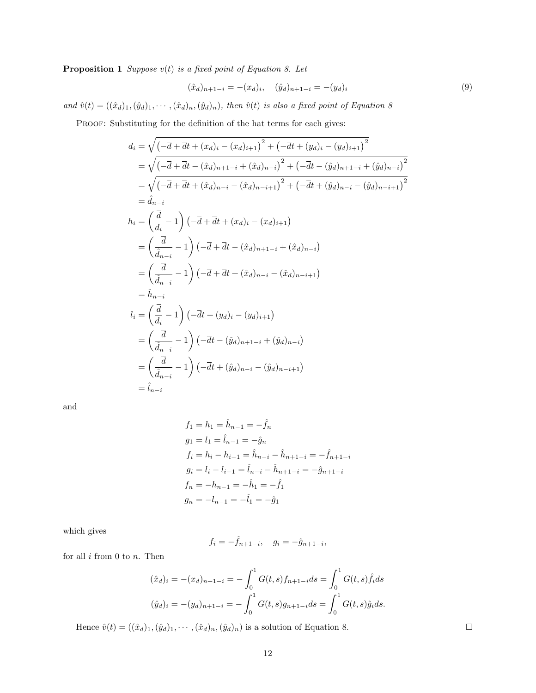**Proposition 1** Suppose  $v(t)$  is a fixed point of Equation 8. Let

$$
(\hat{x}_d)_{n+1-i} = -(x_d)_i, \quad (\hat{y}_d)_{n+1-i} = -(y_d)_i \tag{9}
$$

and  $\hat{v}(t) = ((\hat{x}_d)_1,(\hat{y}_d)_1,\cdots,(\hat{x}_d)_n,(\hat{y}_d)_n)$ , then  $\hat{v}(t)$  is also a fixed point of Equation 8

PROOF: Substituting for the definition of the hat terms for each gives:

$$
d_i = \sqrt{\left(-\overline{d} + \overline{d}t + (x_d)_i - (x_d)_{i+1}\right)^2 + \left(-\overline{d}t + (y_d)_i - (y_d)_{i+1}\right)^2}
$$
  
\n
$$
= \sqrt{\left(-\overline{d} + \overline{d}t - (\hat{x}_d)_{n+1-i} + (\hat{x}_d)_{n-i}\right)^2 + \left(-\overline{d}t - (\hat{y}_d)_{n+1-i} + (\hat{y}_d)_{n-i}\right)^2}
$$
  
\n
$$
= \sqrt{\left(-\overline{d} + \overline{d}t + (\hat{x}_d)_{n-i} - (\hat{x}_d)_{n-i+1}\right)^2 + \left(-\overline{d}t + (\hat{y}_d)_{n-i} - (\hat{y}_d)_{n-i+1}\right)^2}
$$
  
\n
$$
= \hat{d}_{n-i}
$$
  
\n
$$
h_i = \left(\frac{\overline{d}}{\overline{d}_i} - 1\right) \left(-\overline{d} + \overline{d}t + (x_d)_i - (x_d)_{i+1}\right)
$$
  
\n
$$
= \left(\frac{\overline{d}}{\hat{d}_{n-i}} - 1\right) \left(-\overline{d} + \overline{d}t + (\hat{x}_d)_{n-i} - (\hat{x}_d)_{n-i+1}\right)
$$
  
\n
$$
= \hat{h}_{n-i}
$$
  
\n
$$
l_i = \left(\frac{\overline{d}}{\hat{d}_i} - 1\right) \left(-\overline{d}t + (\hat{y}_d)_{i-1} - (\hat{x}_d)_{n-i+1}\right)
$$
  
\n
$$
= \left(\frac{\overline{d}}{\hat{d}_{n-i}} - 1\right) \left(-\overline{d}t + (\hat{y}_d)_{i-1}\right)
$$
  
\n
$$
= \left(\frac{\overline{d}}{\hat{d}_{n-i}} - 1\right) \left(-\overline{d}t + (\hat{y}_d)_{n-i} - (\hat{y}_d)_{n-i+1}\right)
$$
  
\n
$$
= \hat{l}_{n-i}
$$

and

$$
f_1 = h_1 = \hat{h}_{n-1} = -\hat{f}_n
$$
  
\n
$$
g_1 = l_1 = \hat{l}_{n-1} = -\hat{g}_n
$$
  
\n
$$
f_i = h_i - h_{i-1} = \hat{h}_{n-i} - \hat{h}_{n+1-i} = -\hat{f}_{n+1-i}
$$
  
\n
$$
g_i = l_i - l_{i-1} = \hat{l}_{n-i} - \hat{h}_{n+1-i} = -\hat{g}_{n+1-i}
$$
  
\n
$$
f_n = -h_{n-1} = -\hat{h}_1 = -\hat{f}_1
$$
  
\n
$$
g_n = -l_{n-1} = -\hat{l}_1 = -\hat{g}_1
$$

which gives

$$
f_i = -\hat{f}_{n+1-i}, \quad g_i = -\hat{g}_{n+1-i},
$$

for all  $i$  from 0 to  $n$ . Then

$$
(\hat{x}_d)_i = -(x_d)_{n+1-i} = -\int_0^1 G(t,s)f_{n+1-i}ds = \int_0^1 G(t,s)\hat{f}_i ds
$$
  

$$
(\hat{y}_d)_i = -(y_d)_{n+1-i} = -\int_0^1 G(t,s)g_{n+1-i}ds = \int_0^1 G(t,s)\hat{g}_i ds.
$$

Hence  $\hat{v}(t) = ((\hat{x}_d)_1,(\hat{y}_d)_1,\cdots,(\hat{x}_d)_n,(\hat{y}_d)_n)$  is a solution of Equation 8.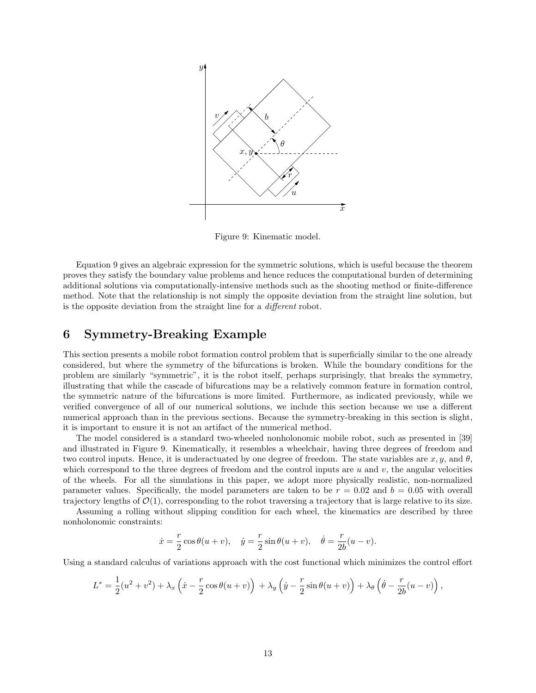

Figure 9: Kinematic model.

Equation 9 gives an algebraic expression for the symmetric solutions, which is useful because the theorem proves they satisfy the boundary value problems and hence reduces the computational burden of determining additional solutions via computationally-intensive methods such as the shooting method or finite-difference method. Note that the relationship is not simply the opposite deviation from the straight line solution, but is the opposite deviation from the straight line for a different robot.

### 6 Symmetry-Breaking Example

This section presents a mobile robot formation control problem that is superficially similar to the one already considered, but where the symmetry of the bifurcations is broken. While the boundary conditions for the problem are similarly "symmetric", it is the robot itself, perhaps surprisingly, that breaks the symmetry, illustrating that while the cascade of bifurcations may be a relatively common feature in formation control, the symmetric nature of the bifurcations is more limited. Furthermore, as indicated previously, while we verified convergence of all of our numerical solutions, we include this section because we use a different numerical approach than in the previous sections. Because the symmetry-breaking in this section is slight, it is important to ensure it is not an artifact of the numerical method.

The model considered is a standard two-wheeled nonholonomic mobile robot, such as presented in [39] and illustrated in Figure 9. Kinematically, it resembles a wheelchair, having three degrees of freedom and two control inputs. Hence, it is underactuated by one degree of freedom. The state variables are  $x, y$ , and  $\theta$ , which correspond to the three degrees of freedom and the control inputs are  $u$  and  $v$ , the angular velocities of the wheels. For all the simulations in this paper, we adopt more physically realistic, non-normalized parameter values. Specifically, the model parameters are taken to be  $r = 0.02$  and  $b = 0.05$  with overall trajectory lengths of  $\mathcal{O}(1)$ , corresponding to the robot traversing a trajectory that is large relative to its size.

Assuming a rolling without slipping condition for each wheel, the kinematics are described by three nonholonomic constraints:

$$
\dot{x} = \frac{r}{2}\cos\theta(u+v), \quad \dot{y} = \frac{r}{2}\sin\theta(u+v), \quad \dot{\theta} = \frac{r}{2b}(u-v).
$$

Using a standard calculus of variations approach with the cost functional which minimizes the control effort

$$
L^* = \frac{1}{2}(u^2 + v^2) + \lambda_x \left(\dot{x} - \frac{r}{2}\cos\theta(u+v)\right) + \lambda_y \left(\dot{y} - \frac{r}{2}\sin\theta(u+v)\right) + \lambda_\theta \left(\dot{\theta} - \frac{r}{2b}(u-v)\right),
$$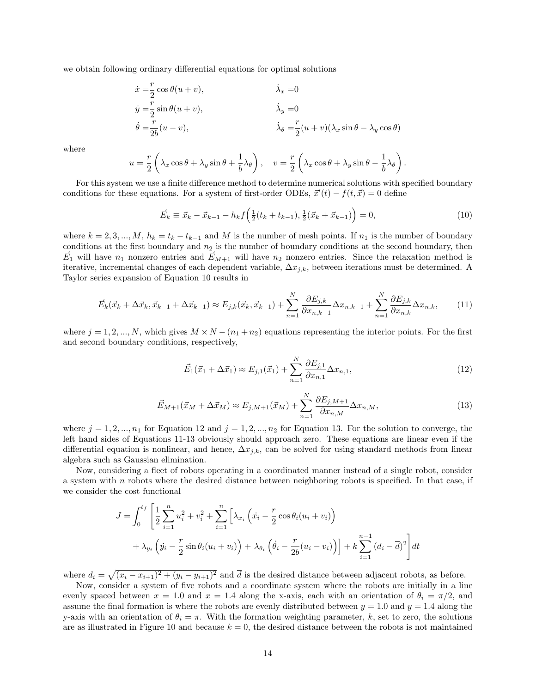we obtain following ordinary differential equations for optimal solutions

$$
\dot{x} = \frac{r}{2}\cos\theta(u+v), \qquad \dot{\lambda}_x = 0
$$
  
\n
$$
\dot{y} = \frac{r}{2}\sin\theta(u+v), \qquad \dot{\lambda}_y = 0
$$
  
\n
$$
\dot{\theta} = \frac{r}{2b}(u-v), \qquad \dot{\lambda}_\theta = \frac{r}{2}(u+v)(\lambda_x\sin\theta - \lambda_y\cos\theta)
$$

where

$$
u = \frac{r}{2} \left( \lambda_x \cos \theta + \lambda_y \sin \theta + \frac{1}{b} \lambda_\theta \right), \quad v = \frac{r}{2} \left( \lambda_x \cos \theta + \lambda_y \sin \theta - \frac{1}{b} \lambda_\theta \right).
$$

For this system we use a finite difference method to determine numerical solutions with specified boundary conditions for these equations. For a system of first-order ODEs,  $\vec{x}'(t) - f(t, \vec{x}) = 0$  define

$$
\vec{E}_k \equiv \vec{x}_k - \vec{x}_{k-1} - h_k f\left(\frac{1}{2}(t_k + t_{k-1}), \frac{1}{2}(\vec{x}_k + \vec{x}_{k-1})\right) = 0,\tag{10}
$$

where  $k = 2, 3, ..., M$ ,  $h_k = t_k - t_{k-1}$  and M is the number of mesh points. If  $n_1$  is the number of boundary conditions at the first boundary and  $n_2$  is the number of boundary conditions at the second boundary, then  $\vec{E}_1$  will have  $n_1$  nonzero entries and  $\vec{E}_{M+1}$  will have  $n_2$  nonzero entries. Since the relaxation method is iterative, incremental changes of each dependent variable,  $\Delta x_{j,k}$ , between iterations must be determined. A Taylor series expansion of Equation 10 results in

$$
\vec{E}_k(\vec{x}_k + \Delta \vec{x}_k, \vec{x}_{k-1} + \Delta \vec{x}_{k-1}) \approx E_{j,k}(\vec{x}_k, \vec{x}_{k-1}) + \sum_{n=1}^{N} \frac{\partial E_{j,k}}{\partial x_{n,k-1}} \Delta x_{n,k-1} + \sum_{n=1}^{N} \frac{\partial E_{j,k}}{\partial x_{n,k}} \Delta x_{n,k},
$$
(11)

where  $j = 1, 2, ..., N$ , which gives  $M \times N - (n_1 + n_2)$  equations representing the interior points. For the first and second boundary conditions, respectively,

$$
\vec{E}_1(\vec{x}_1 + \Delta \vec{x}_1) \approx E_{j,1}(\vec{x}_1) + \sum_{n=1}^{N} \frac{\partial E_{j,1}}{\partial x_{n,1}} \Delta x_{n,1},\tag{12}
$$

$$
\vec{E}_{M+1}(\vec{x}_M + \Delta \vec{x}_M) \approx E_{j,M+1}(\vec{x}_M) + \sum_{n=1}^{N} \frac{\partial E_{j,M+1}}{\partial x_{n,M}} \Delta x_{n,M},\tag{13}
$$

where  $j = 1, 2, ..., n_1$  for Equation 12 and  $j = 1, 2, ..., n_2$  for Equation 13. For the solution to converge, the left hand sides of Equations 11-13 obviously should approach zero. These equations are linear even if the differential equation is nonlinear, and hence,  $\Delta x_{j,k}$ , can be solved for using standard methods from linear algebra such as Gaussian elimination.

Now, considering a fleet of robots operating in a coordinated manner instead of a single robot, consider a system with  $n$  robots where the desired distance between neighboring robots is specified. In that case, if we consider the cost functional

$$
J = \int_0^{t_f} \left[ \frac{1}{2} \sum_{i=1}^n u_i^2 + v_i^2 + \sum_{i=1}^n \left[ \lambda_{x_i} \left( \dot{x}_i - \frac{r}{2} \cos \theta_i (u_i + v_i) \right) + \lambda_{y_i} \left( \dot{y}_i - \frac{r}{2} \sin \theta_i (u_i + v_i) \right) + \lambda_{\theta_i} \left( \dot{\theta}_i - \frac{r}{2b} (u_i - v_i) \right) \right] + k \sum_{i=1}^{n-1} (d_i - \overline{d})^2 \right] dt
$$

where  $d_i = \sqrt{(x_i - x_{i+1})^2 + (y_i - y_{i+1})^2}$  and  $\overline{d}$  is the desired distance between adjacent robots, as before.

Now, consider a system of five robots and a coordinate system where the robots are initially in a line evenly spaced between  $x = 1.0$  and  $x = 1.4$  along the x-axis, each with an orientation of  $\theta_i = \pi/2$ , and assume the final formation is where the robots are evenly distributed between  $y = 1.0$  and  $y = 1.4$  along the y-axis with an orientation of  $\theta_i = \pi$ . With the formation weighting parameter, k, set to zero, the solutions are as illustrated in Figure 10 and because  $k = 0$ , the desired distance between the robots is not maintained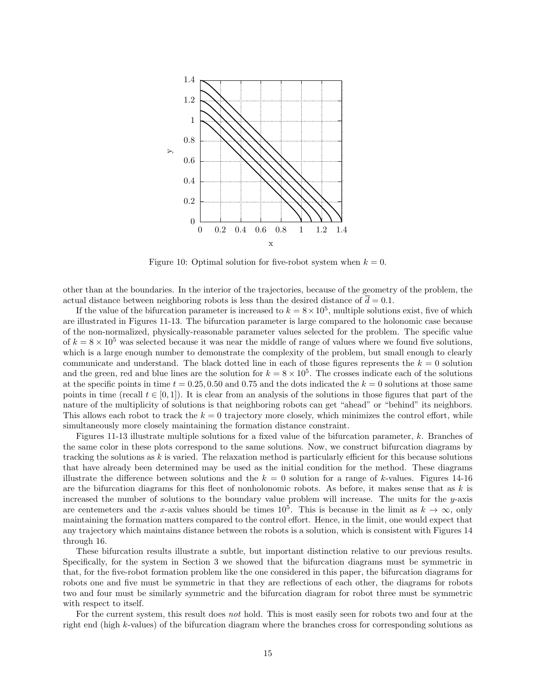

Figure 10: Optimal solution for five-robot system when  $k = 0$ .

other than at the boundaries. In the interior of the trajectories, because of the geometry of the problem, the actual distance between neighboring robots is less than the desired distance of  $\overline{d} = 0.1$ .

If the value of the bifurcation parameter is increased to  $k = 8 \times 10^5$ , multiple solutions exist, five of which are illustrated in Figures 11-13. The bifurcation parameter is large compared to the holonomic case because of the non-normalized, physically-reasonable parameter values selected for the problem. The specific value of  $k = 8 \times 10^5$  was selected because it was near the middle of range of values where we found five solutions, which is a large enough number to demonstrate the complexity of the problem, but small enough to clearly communicate and understand. The black dotted line in each of those figures represents the  $k = 0$  solution and the green, red and blue lines are the solution for  $k = 8 \times 10^5$ . The crosses indicate each of the solutions at the specific points in time  $t = 0.25, 0.50$  and 0.75 and the dots indicated the  $k = 0$  solutions at those same points in time (recall  $t \in [0,1]$ ). It is clear from an analysis of the solutions in those figures that part of the nature of the multiplicity of solutions is that neighboring robots can get "ahead" or "behind" its neighbors. This allows each robot to track the  $k = 0$  trajectory more closely, which minimizes the control effort, while simultaneously more closely maintaining the formation distance constraint.

Figures 11-13 illustrate multiple solutions for a fixed value of the bifurcation parameter, k. Branches of the same color in these plots correspond to the same solutions. Now, we construct bifurcation diagrams by tracking the solutions as  $k$  is varied. The relaxation method is particularly efficient for this because solutions that have already been determined may be used as the initial condition for the method. These diagrams illustrate the difference between solutions and the  $k = 0$  solution for a range of k-values. Figures 14-16 are the bifurcation diagrams for this fleet of nonholonomic robots. As before, it makes sense that as  $k$  is increased the number of solutions to the boundary value problem will increase. The units for the y-axis are centemeters and the x-axis values should be times  $10^5$ . This is because in the limit as  $k \to \infty$ , only maintaining the formation matters compared to the control effort. Hence, in the limit, one would expect that any trajectory which maintains distance between the robots is a solution, which is consistent with Figures 14 through 16.

These bifurcation results illustrate a subtle, but important distinction relative to our previous results. Specifically, for the system in Section 3 we showed that the bifurcation diagrams must be symmetric in that, for the five-robot formation problem like the one considered in this paper, the bifurcation diagrams for robots one and five must be symmetric in that they are reflections of each other, the diagrams for robots two and four must be similarly symmetric and the bifurcation diagram for robot three must be symmetric with respect to itself.

For the current system, this result does not hold. This is most easily seen for robots two and four at the right end (high k-values) of the bifurcation diagram where the branches cross for corresponding solutions as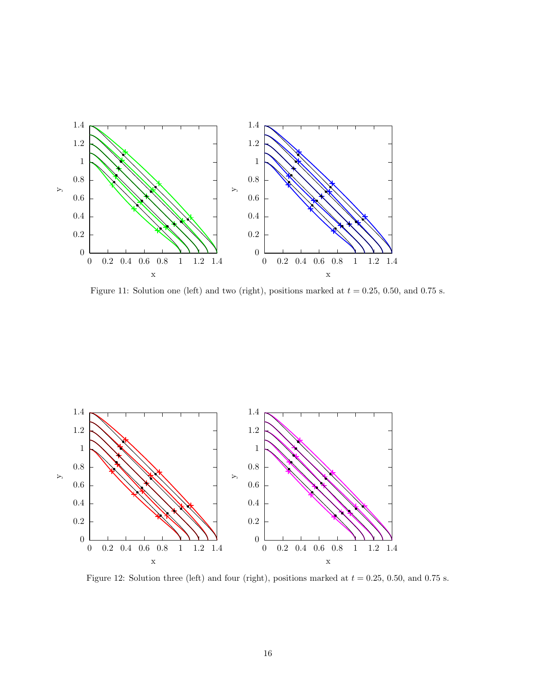

Figure 11: Solution one (left) and two (right), positions marked at  $t = 0.25, 0.50,$  and 0.75 s.



Figure 12: Solution three (left) and four (right), positions marked at  $t = 0.25, 0.50,$  and 0.75 s.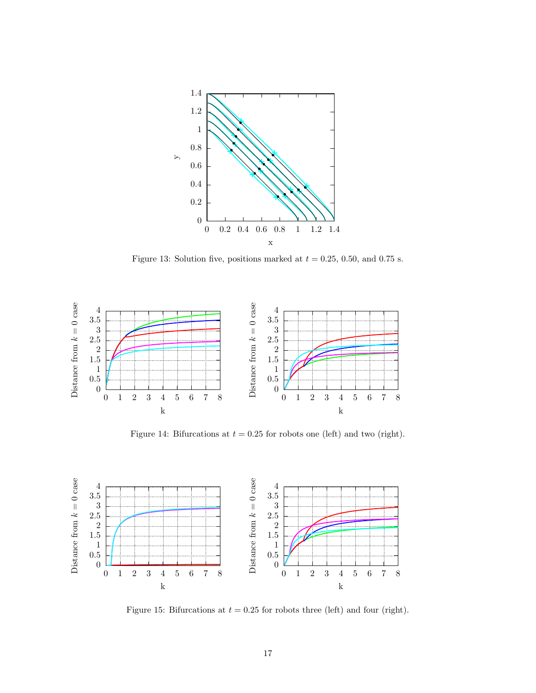

Figure 13: Solution five, positions marked at  $t = 0.25, 0.50,$  and  $0.75$  s.



Figure 14: Bifurcations at  $t = 0.25$  for robots one (left) and two (right).



Figure 15: Bifurcations at  $t = 0.25$  for robots three (left) and four (right).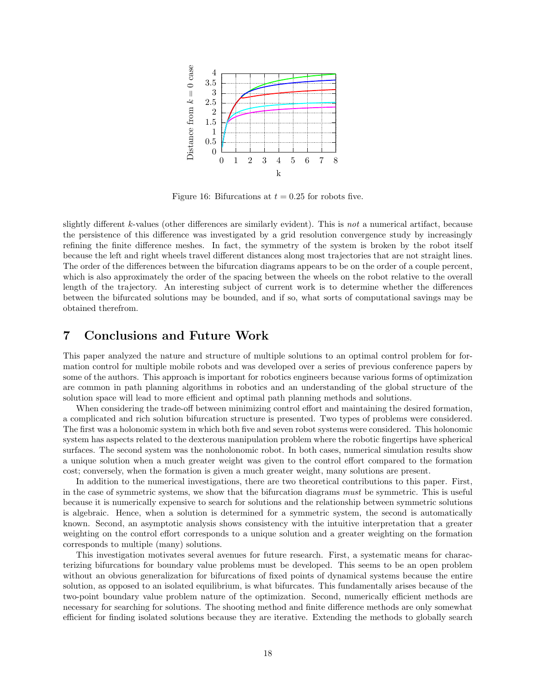

Figure 16: Bifurcations at  $t = 0.25$  for robots five.

slightly different k-values (other differences are similarly evident). This is not a numerical artifact, because the persistence of this difference was investigated by a grid resolution convergence study by increasingly refining the finite difference meshes. In fact, the symmetry of the system is broken by the robot itself because the left and right wheels travel different distances along most trajectories that are not straight lines. The order of the differences between the bifurcation diagrams appears to be on the order of a couple percent, which is also approximately the order of the spacing between the wheels on the robot relative to the overall length of the trajectory. An interesting subject of current work is to determine whether the differences between the bifurcated solutions may be bounded, and if so, what sorts of computational savings may be obtained therefrom.

### 7 Conclusions and Future Work

This paper analyzed the nature and structure of multiple solutions to an optimal control problem for formation control for multiple mobile robots and was developed over a series of previous conference papers by some of the authors. This approach is important for robotics engineers because various forms of optimization are common in path planning algorithms in robotics and an understanding of the global structure of the solution space will lead to more efficient and optimal path planning methods and solutions.

When considering the trade-off between minimizing control effort and maintaining the desired formation, a complicated and rich solution bifurcation structure is presented. Two types of problems were considered. The first was a holonomic system in which both five and seven robot systems were considered. This holonomic system has aspects related to the dexterous manipulation problem where the robotic fingertips have spherical surfaces. The second system was the nonholonomic robot. In both cases, numerical simulation results show a unique solution when a much greater weight was given to the control effort compared to the formation cost; conversely, when the formation is given a much greater weight, many solutions are present.

In addition to the numerical investigations, there are two theoretical contributions to this paper. First, in the case of symmetric systems, we show that the bifurcation diagrams must be symmetric. This is useful because it is numerically expensive to search for solutions and the relationship between symmetric solutions is algebraic. Hence, when a solution is determined for a symmetric system, the second is automatically known. Second, an asymptotic analysis shows consistency with the intuitive interpretation that a greater weighting on the control effort corresponds to a unique solution and a greater weighting on the formation corresponds to multiple (many) solutions.

This investigation motivates several avenues for future research. First, a systematic means for characterizing bifurcations for boundary value problems must be developed. This seems to be an open problem without an obvious generalization for bifurcations of fixed points of dynamical systems because the entire solution, as opposed to an isolated equilibrium, is what bifurcates. This fundamentally arises because of the two-point boundary value problem nature of the optimization. Second, numerically efficient methods are necessary for searching for solutions. The shooting method and finite difference methods are only somewhat efficient for finding isolated solutions because they are iterative. Extending the methods to globally search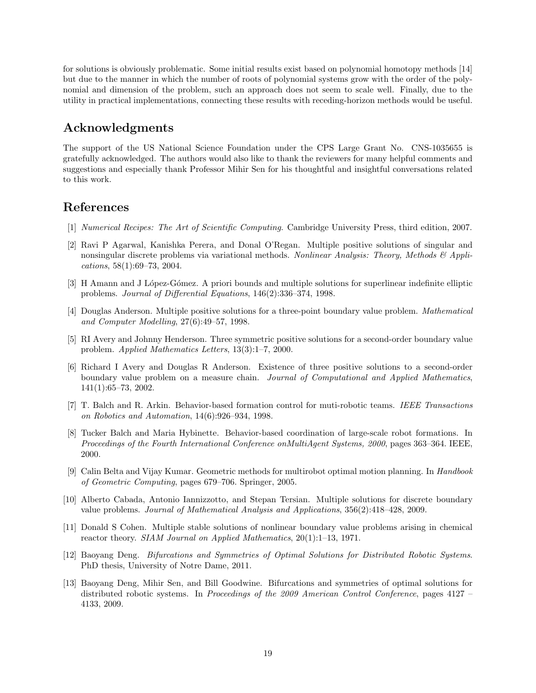for solutions is obviously problematic. Some initial results exist based on polynomial homotopy methods [14] but due to the manner in which the number of roots of polynomial systems grow with the order of the polynomial and dimension of the problem, such an approach does not seem to scale well. Finally, due to the utility in practical implementations, connecting these results with receding-horizon methods would be useful.

## Acknowledgments

The support of the US National Science Foundation under the CPS Large Grant No. CNS-1035655 is gratefully acknowledged. The authors would also like to thank the reviewers for many helpful comments and suggestions and especially thank Professor Mihir Sen for his thoughtful and insightful conversations related to this work.

### References

- [1] Numerical Recipes: The Art of Scientific Computing. Cambridge University Press, third edition, 2007.
- [2] Ravi P Agarwal, Kanishka Perera, and Donal O'Regan. Multiple positive solutions of singular and nonsingular discrete problems via variational methods. Nonlinear Analysis: Theory, Methods & Applications, 58(1):69–73, 2004.
- [3] H Amann and J López-Gómez. A priori bounds and multiple solutions for superlinear indefinite elliptic problems. Journal of Differential Equations, 146(2):336–374, 1998.
- [4] Douglas Anderson. Multiple positive solutions for a three-point boundary value problem. Mathematical and Computer Modelling, 27(6):49–57, 1998.
- [5] RI Avery and Johnny Henderson. Three symmetric positive solutions for a second-order boundary value problem. Applied Mathematics Letters, 13(3):1–7, 2000.
- [6] Richard I Avery and Douglas R Anderson. Existence of three positive solutions to a second-order boundary value problem on a measure chain. Journal of Computational and Applied Mathematics, 141(1):65–73, 2002.
- [7] T. Balch and R. Arkin. Behavior-based formation control for muti-robotic teams. IEEE Transactions on Robotics and Automation, 14(6):926–934, 1998.
- [8] Tucker Balch and Maria Hybinette. Behavior-based coordination of large-scale robot formations. In Proceedings of the Fourth International Conference onMultiAgent Systems, 2000, pages 363–364. IEEE, 2000.
- [9] Calin Belta and Vijay Kumar. Geometric methods for multirobot optimal motion planning. In Handbook of Geometric Computing, pages 679–706. Springer, 2005.
- [10] Alberto Cabada, Antonio Iannizzotto, and Stepan Tersian. Multiple solutions for discrete boundary value problems. Journal of Mathematical Analysis and Applications, 356(2):418–428, 2009.
- [11] Donald S Cohen. Multiple stable solutions of nonlinear boundary value problems arising in chemical reactor theory. SIAM Journal on Applied Mathematics, 20(1):1–13, 1971.
- [12] Baoyang Deng. Bifurcations and Symmetries of Optimal Solutions for Distributed Robotic Systems. PhD thesis, University of Notre Dame, 2011.
- [13] Baoyang Deng, Mihir Sen, and Bill Goodwine. Bifurcations and symmetries of optimal solutions for distributed robotic systems. In Proceedings of the 2009 American Control Conference, pages 4127 – 4133, 2009.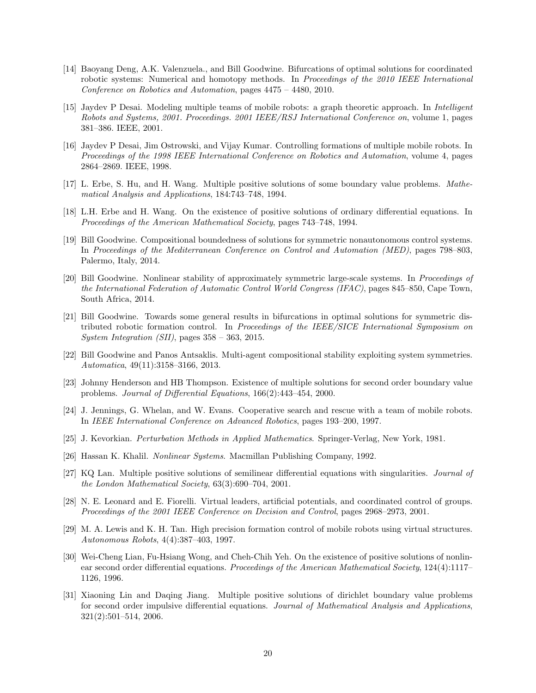- [14] Baoyang Deng, A.K. Valenzuela., and Bill Goodwine. Bifurcations of optimal solutions for coordinated robotic systems: Numerical and homotopy methods. In Proceedings of the 2010 IEEE International Conference on Robotics and Automation, pages 4475 – 4480, 2010.
- [15] Jaydev P Desai. Modeling multiple teams of mobile robots: a graph theoretic approach. In Intelligent Robots and Systems, 2001. Proceedings. 2001 IEEE/RSJ International Conference on, volume 1, pages 381–386. IEEE, 2001.
- [16] Jaydev P Desai, Jim Ostrowski, and Vijay Kumar. Controlling formations of multiple mobile robots. In Proceedings of the 1998 IEEE International Conference on Robotics and Automation, volume 4, pages 2864–2869. IEEE, 1998.
- [17] L. Erbe, S. Hu, and H. Wang. Multiple positive solutions of some boundary value problems. Mathematical Analysis and Applications, 184:743–748, 1994.
- [18] L.H. Erbe and H. Wang. On the existence of positive solutions of ordinary differential equations. In Proceedings of the American Mathematical Society, pages 743–748, 1994.
- [19] Bill Goodwine. Compositional boundedness of solutions for symmetric nonautonomous control systems. In Proceedings of the Mediterranean Conference on Control and Automation (MED), pages 798–803, Palermo, Italy, 2014.
- [20] Bill Goodwine. Nonlinear stability of approximately symmetric large-scale systems. In Proceedings of the International Federation of Automatic Control World Congress (IFAC), pages 845–850, Cape Town, South Africa, 2014.
- [21] Bill Goodwine. Towards some general results in bifurcations in optimal solutions for symmetric distributed robotic formation control. In Proceedings of the IEEE/SICE International Symposium on System Integration (SII), pages  $358 - 363$ , 2015.
- [22] Bill Goodwine and Panos Antsaklis. Multi-agent compositional stability exploiting system symmetries. Automatica, 49(11):3158–3166, 2013.
- [23] Johnny Henderson and HB Thompson. Existence of multiple solutions for second order boundary value problems. Journal of Differential Equations, 166(2):443–454, 2000.
- [24] J. Jennings, G. Whelan, and W. Evans. Cooperative search and rescue with a team of mobile robots. In IEEE International Conference on Advanced Robotics, pages 193–200, 1997.
- [25] J. Kevorkian. Perturbation Methods in Applied Mathematics. Springer-Verlag, New York, 1981.
- [26] Hassan K. Khalil. Nonlinear Systems. Macmillan Publishing Company, 1992.
- [27] KQ Lan. Multiple positive solutions of semilinear differential equations with singularities. Journal of the London Mathematical Society, 63(3):690–704, 2001.
- [28] N. E. Leonard and E. Fiorelli. Virtual leaders, artificial potentials, and coordinated control of groups. Proceedings of the 2001 IEEE Conference on Decision and Control, pages 2968–2973, 2001.
- [29] M. A. Lewis and K. H. Tan. High precision formation control of mobile robots using virtual structures. Autonomous Robots, 4(4):387–403, 1997.
- [30] Wei-Cheng Lian, Fu-Hsiang Wong, and Cheh-Chih Yeh. On the existence of positive solutions of nonlinear second order differential equations. Proceedings of the American Mathematical Society, 124(4):1117– 1126, 1996.
- [31] Xiaoning Lin and Daqing Jiang. Multiple positive solutions of dirichlet boundary value problems for second order impulsive differential equations. Journal of Mathematical Analysis and Applications, 321(2):501–514, 2006.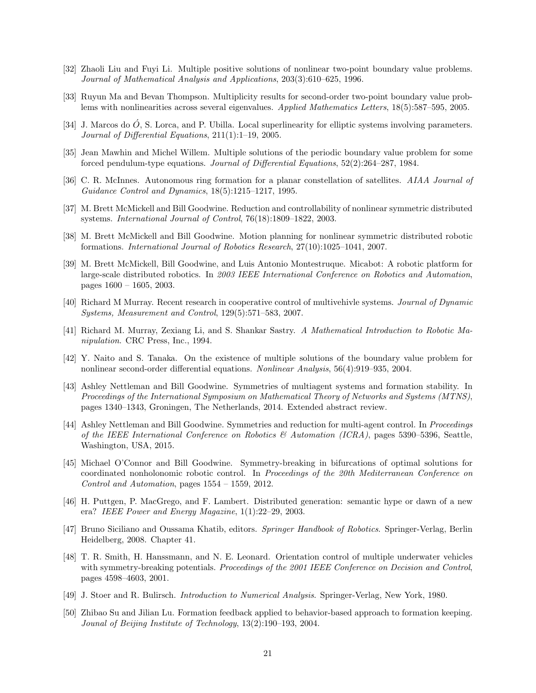- [32] Zhaoli Liu and Fuyi Li. Multiple positive solutions of nonlinear two-point boundary value problems. Journal of Mathematical Analysis and Applications, 203(3):610–625, 1996.
- [33] Ruyun Ma and Bevan Thompson. Multiplicity results for second-order two-point boundary value problems with nonlinearities across several eigenvalues. Applied Mathematics Letters, 18(5):587–595, 2005.
- [34] J. Marcos do O´, S. Lorca, and P. Ubilla. Local superlinearity for elliptic systems involving parameters. Journal of Differential Equations, 211(1):1–19, 2005.
- [35] Jean Mawhin and Michel Willem. Multiple solutions of the periodic boundary value problem for some forced pendulum-type equations. Journal of Differential Equations, 52(2):264–287, 1984.
- [36] C. R. McInnes. Autonomous ring formation for a planar constellation of satellites. AIAA Journal of Guidance Control and Dynamics, 18(5):1215–1217, 1995.
- [37] M. Brett McMickell and Bill Goodwine. Reduction and controllability of nonlinear symmetric distributed systems. International Journal of Control, 76(18):1809–1822, 2003.
- [38] M. Brett McMickell and Bill Goodwine. Motion planning for nonlinear symmetric distributed robotic formations. International Journal of Robotics Research, 27(10):1025–1041, 2007.
- [39] M. Brett McMickell, Bill Goodwine, and Luis Antonio Montestruque. Micabot: A robotic platform for large-scale distributed robotics. In 2003 IEEE International Conference on Robotics and Automation, pages 1600 – 1605, 2003.
- [40] Richard M Murray. Recent research in cooperative control of multivehivle systems. Journal of Dynamic Systems, Measurement and Control, 129(5):571–583, 2007.
- [41] Richard M. Murray, Zexiang Li, and S. Shankar Sastry. A Mathematical Introduction to Robotic Manipulation. CRC Press, Inc., 1994.
- [42] Y. Naito and S. Tanaka. On the existence of multiple solutions of the boundary value problem for nonlinear second-order differential equations. Nonlinear Analysis, 56(4):919–935, 2004.
- [43] Ashley Nettleman and Bill Goodwine. Symmetries of multiagent systems and formation stability. In Proceedings of the International Symposium on Mathematical Theory of Networks and Systems (MTNS), pages 1340–1343, Groningen, The Netherlands, 2014. Extended abstract review.
- [44] Ashley Nettleman and Bill Goodwine. Symmetries and reduction for multi-agent control. In Proceedings of the IEEE International Conference on Robotics & Automation (ICRA), pages 5390–5396, Seattle, Washington, USA, 2015.
- [45] Michael O'Connor and Bill Goodwine. Symmetry-breaking in bifurcations of optimal solutions for coordinated nonholonomic robotic control. In Proceedings of the 20th Mediterranean Conference on Control and Automation, pages 1554 – 1559, 2012.
- [46] H. Puttgen, P. MacGrego, and F. Lambert. Distributed generation: semantic hype or dawn of a new era? IEEE Power and Energy Magazine, 1(1):22–29, 2003.
- [47] Bruno Siciliano and Oussama Khatib, editors. Springer Handbook of Robotics. Springer-Verlag, Berlin Heidelberg, 2008. Chapter 41.
- [48] T. R. Smith, H. Hanssmann, and N. E. Leonard. Orientation control of multiple underwater vehicles with symmetry-breaking potentials. Proceedings of the 2001 IEEE Conference on Decision and Control, pages 4598–4603, 2001.
- [49] J. Stoer and R. Bulirsch. Introduction to Numerical Analysis. Springer-Verlag, New York, 1980.
- [50] Zhibao Su and Jilian Lu. Formation feedback applied to behavior-based approach to formation keeping. Jounal of Beijing Institute of Technology, 13(2):190–193, 2004.